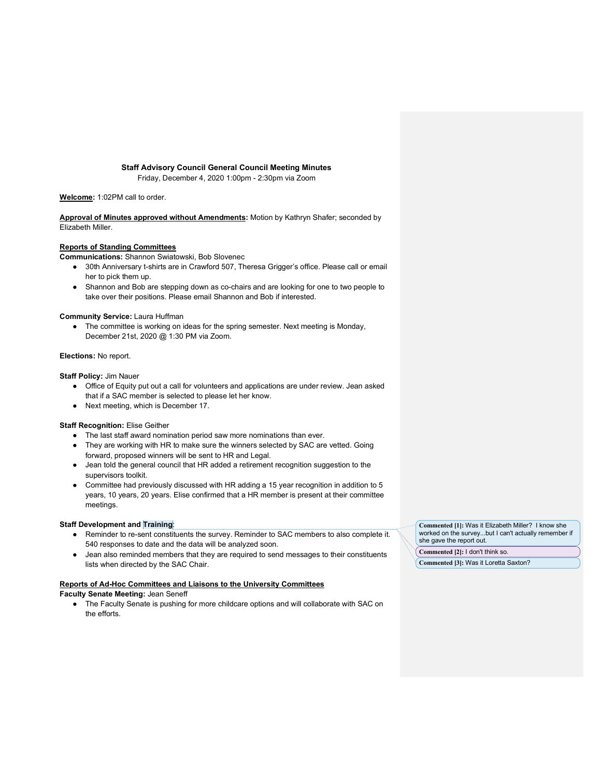## **Staff Advisory Council General Council Meeting Minutes**

Friday, December 4, 2020 1:00pm - 2:30pm via Zoom

**Welcome:** 1:02PM call to order.

**Approval of Minutes approved without Amendments:** Motion by Kathryn Shafer; seconded by Elizabeth Miller.

### **Reports of Standing Committees**

- **Communications:** Shannon Swiatowski, Bob Slovenec
	- 30th Anniversary t-shirts are in Crawford 507, Theresa Grigger's office. Please call or email her to pick them up.
	- Shannon and Bob are stepping down as co-chairs and are looking for one to two people to take over their positions. Please email Shannon and Bob if interested.

#### **Community Service:** Laura Huffman

● The committee is working on ideas for the spring semester. Next meeting is Monday, December 21st, 2020 @ 1:30 PM via Zoom.

# **Elections:** No report.

**Staff Policy:** Jim Nauer

- Office of Equity put out a call for volunteers and applications are under review. Jean asked that if a SAC member is selected to please let her know.
- Next meeting, which is December 17.

### **Staff Recognition:** Elise Geither

- The last staff award nomination period saw more nominations than ever.
- They are working with HR to make sure the winners selected by SAC are vetted. Going forward, proposed winners will be sent to HR and Legal.
- Jean told the general council that HR added a retirement recognition suggestion to the supervisors toolkit.
- Committee had previously discussed with HR adding a 15 year recognition in addition to 5 years, 10 years, 20 years. Elise confirmed that a HR member is present at their committee meetings.

## **Staff Development and Training**:

- Reminder to re-sent constituents the survey. Reminder to SAC members to also complete it. 540 responses to date and the data will be analyzed soon.
- Jean also reminded members that they are required to send messages to their constituents lists when directed by the SAC Chair.

#### **Reports of Ad-Hoc Committees and Liaisons to the University Committees**

### **Faculty Senate Meeting:** Jean Seneff

● The Faculty Senate is pushing for more childcare options and will collaborate with SAC on the efforts.

**Commented [1]:** Was it Elizabeth Miller? I know she worked on the survey...but I can't actually remember if she gave the report out.

**Commented [2]:** I don't think so.

**Commented [3]:** Was it Loretta Saxton?